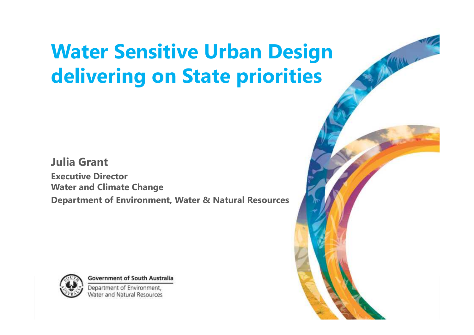### **Water Sensitive Urban Design delivering on State priorities**

#### **Julia Grant**

**Executive Director Water and Climate Change Department of Environment, Water & Natural Resources**



**Government of South Australia** 

Department of Environment **Water and Natural Resources** 

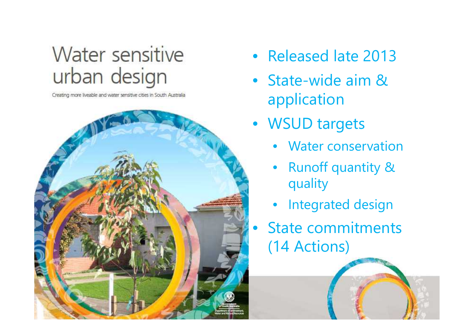### Water sensitive urban design

Creating more liveable and water sensitive cities in South Australia



- Released late 2013
- State-wide aim & application
- WSUD targets
	- Water conservation
	- Runoff quantity & quality
	- Integrated design
- State commitments (14 Actions)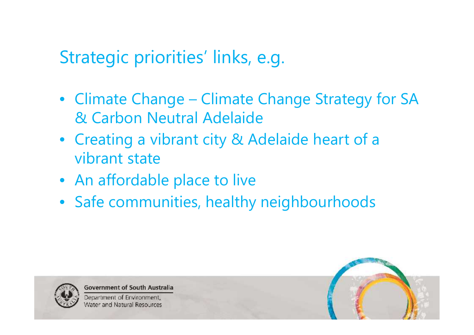### Strategic priorities' links, e.g.

- Climate Change Climate Change Strategy for SA & Carbon Neutral Adelaide
- Creating a vibrant city & Adelaide heart of a vibrant state
- An affordable place to live
- Safe communities, healthy neighbourhoods



**Government of South Australia** 

Department of Environment, Water and Natural Resources

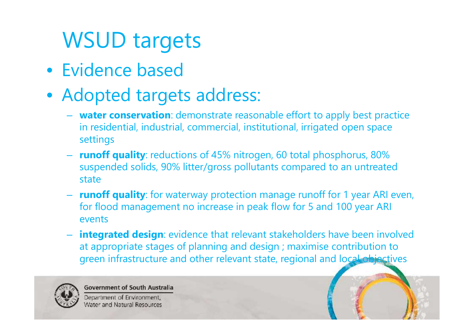## WSUD targets

- Evidence based
- Adopted targets address:
	- **water conservation**: demonstrate reasonable effort to apply best practice in residential, industrial, commercial, institutional, irrigated open space settings
	- **runoff quality**: reductions of 45% nitrogen, 60 total phosphorus, 80% suspended solids, 90% litter/gross pollutants compared to an untreated state
	- **runoff quality**: for waterway protection manage runoff for 1 year ARI even, for flood management no increase in peak flow for 5 and 100 year ARI events
	- **integrated design**: evidence that relevant stakeholders have been involved at appropriate stages of planning and design ; maximise contribution to green infrastructure and other relevant state, regional and local objectives



**Government of South Australia** 

Department of Environment, **Nater and Natural Resources** 

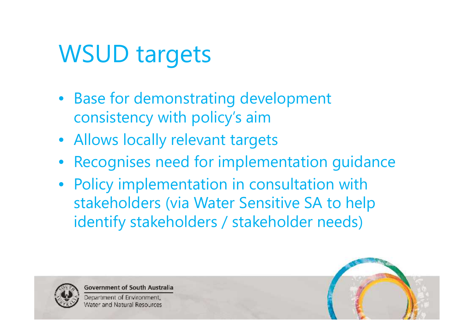# WSUD targets

- Base for demonstrating development consistency with policy's aim
- Allows locally relevant targets
- Recognises need for implementation guidance
- Policy implementation in consultation with stakeholders (via Water Sensitive SA to help identify stakeholders / stakeholder needs)



**Government of South Australia** 

Department of Environment **Nater and Natural Resources** 

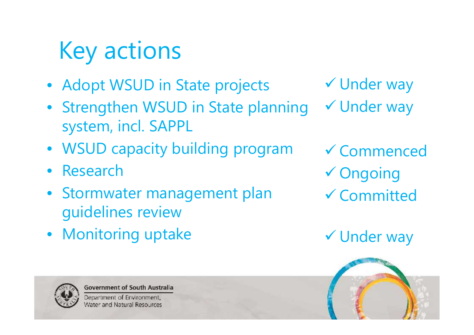# Key actions

- Adopt WSUD in State projects
- Strengthen WSUD in State planning system, incl. SAPPL
- WSUD capacity building program
- Research
- Stormwater management plan guidelines review
- Monitoring uptake



**Government of South Australia** 

Department of Environment, Water and Natural Resources

 Under way Under way

 Commenced Ongoing Committed

Under way

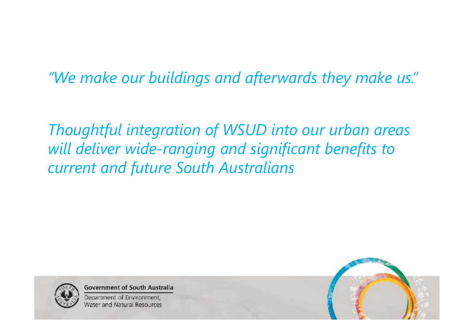*"We make our buildings and afterwards they make us."*

*Thoughtful integration of WSUD into our urban areas will deliver wide-ranging and significant benefits to current and future South Australians*



**Government of South Australia** 

Department of Environment, Water and Natural Resources